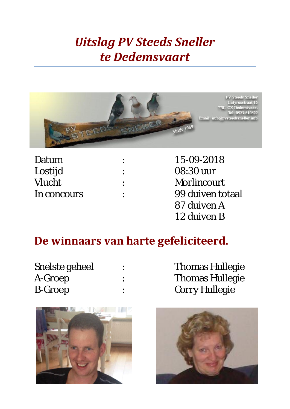## *Uitslag PV Steeds Sneller te Dedemsvaart*



| Datum       | 15-09-2018         |
|-------------|--------------------|
| Lostijd     | 08:30 uur          |
| Vlucht      | <b>Morlincourt</b> |
| In concours | 99 duiven totaal   |
|             | 87 duiven A        |
|             | 12 duiven B        |

## **De winnaars van harte gefeliciteerd.**

| Snelste geheel |  |
|----------------|--|
| A-Groep        |  |
| <b>B-Groep</b> |  |

Thomas Hullegie Thomas Hullegie Corry Hullegie



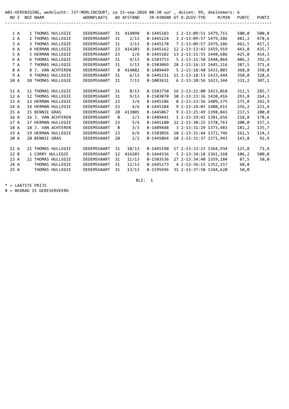| NO Z                                                                 | NOZ NAAM |                |                                                                                                                                                                              | A01-VERENIGING, wedvlucht: J37-MORLINCOURT, za 15-sep-2018 08:30 uur , duiven: 99, deelnemers: 6<br><b>WOONPLAATS</b>               |                                                  | AD AFSTAND                                                       |                                                                                                                   | JR-RINGNR GT D-ZUIV-TYD                                                                                                                                                                                                           | M/MIN | <b>PUNTC</b>                                                                  | <b>PUNTZ</b>                                                                  |
|----------------------------------------------------------------------|----------|----------------|------------------------------------------------------------------------------------------------------------------------------------------------------------------------------|-------------------------------------------------------------------------------------------------------------------------------------|--------------------------------------------------|------------------------------------------------------------------|-------------------------------------------------------------------------------------------------------------------|-----------------------------------------------------------------------------------------------------------------------------------------------------------------------------------------------------------------------------------|-------|-------------------------------------------------------------------------------|-------------------------------------------------------------------------------|
| 1 A<br>2A<br>3A                                                      |          |                | 1 THOMAS HULLEGIE<br>2 THOMAS HULLEGIE<br>3 THOMAS HULLEGIE                                                                                                                  | DEDEMSVAART<br>DEDEMSVAART<br>DEDEMSVAART                                                                                           | 31<br>31<br>31                                   | 414098<br>2/13<br>3/13                                           | 8-1445183<br>8-1445224<br>8-1445178                                                                               | 1 2-13:09:51 1479,715<br>3 2-13:09:57 1479,186<br>7 2-13:09:57 1479,186                                                                                                                                                           |       | 500,0<br>481,2<br>462,5                                                       | 500,0<br>478,6<br>457,1                                                       |
| 4 A<br>5 A<br>6 A<br>7 A                                             |          |                | 4 HERMAN HULLEGIE<br>5 HERMAN HULLEGIE<br>6 THOMAS HULLEGIE<br>7 THOMAS HULLEGIE                                                                                             | DEDEMSVAART<br>DEDEMSVAART<br>DEDEMSVAART<br>DEDEMSVAART                                                                            | 23<br>23<br>31<br>31                             | 414203<br>2/6<br>4/13<br>5/13                                    | 8-1445162<br>8-1445182<br>8-1503753<br>8-1503069                                                                  | 12 2-13:13:43 1459,919<br>13 2-13:15:55 1448,686<br>5 2-13:15:58 1448,064<br>28 2-13:16:33 1445,116                                                                                                                               |       | 443,8<br>425,0<br>406,2<br>387,5                                              | 435,7<br>414,3<br>392,9<br>371,4                                              |
| 8 A<br>9 A<br>10 A                                                   |          |                | 8 J. VAN ACHTEREN<br>9 THOMAS HULLEGIE<br><b>10 THOMAS HULLEGIE</b>                                                                                                          | DEDEMSVAART<br>DEDEMSVAART<br>DEDEMSVAART                                                                                           | 8<br>31<br>31                                    | 414082<br>6/13<br>7/13                                           | 8-1489449<br>8-1445231<br>8-1003611                                                                               | 5 2-13:18:48 1433,803<br>11 2-13:18:53 1433,444<br>6 2-13:20:56 1423,344                                                                                                                                                          |       | 368,8<br>350,0<br>331,2                                                       | 350,0<br>328,6<br>307,1                                                       |
| 11 A<br>12 A<br>13 A<br>14 A<br>15 A<br>16 A<br>17 A<br>18 A<br>19 A |          | 15 BENNIE GRAS | 11 THOMAS HULLEGIE<br>12 THOMAS HULLEGIE<br>13 HERMAN HULLEGIE<br>14 HERMAN HULLEGIE<br>16 J. VAN ACHTEREN<br>17 HERMAN HULLEGIE<br>18 J. VAN ACHTEREN<br>19 HERMAN HULLEGIE | DEDEMSVAART<br>DEDEMSVAART<br>DEDEMSVAART<br>DEDEMSVAART<br>DEDEMSVAART<br>DEDEMSVAART<br>DEDEMSVAART<br>DEDEMSVAART<br>DEDEMSVAART | 31<br>31<br>23<br>23<br>20<br>8<br>23<br>8<br>23 | 8/13<br>9/13<br>3/6<br>4/6<br>413801<br>2/3<br>5/6<br>3/3<br>6/6 | 8-1503750<br>8-1503070<br>8-1445186<br>8-1445184<br>8-1445067<br>8-1489441<br>8-1445180<br>8-1489448<br>8-1503056 | 16 2-13:21:00 1423,018<br>30 2-13:23:36 1410,416<br>8 2-13:23:56 1409,175<br>9 2-13:24:03 1408,615<br>9 2-13:25:49 1398,843<br>1 2-13:29:42 1381,656<br>22 2-13:30:25 1378,763<br>3 2-13:31:29 1373,483<br>10 2-13:31:44 1372,746 |       | 312,5<br>293,8<br>275,0<br>256,2<br>237,5<br>218,8<br>200,0<br>181,2<br>162,5 | 285,7<br>264,3<br>242,9<br>221,4<br>200,0<br>178,6<br>157,1<br>135,7<br>114,3 |
| 20 A<br>21A<br>22B<br>23 A<br>24 A<br>25 A                           |          | 20 BENNIE GRAS | 21 THOMAS HULLEGIE<br>1 CORRY HULLEGIE<br>22 THOMAS HULLEGIE<br>THOMAS HULLEGIE<br>THOMAS HULLEGIE                                                                           | DEDEMSVAART<br>DEDEMSVAART<br>DEDEMSVAART<br>DEDEMSVAART<br>DEDEMSVAART<br>DEDEMSVAART                                              | 20<br>31<br>12<br>31<br>31<br>31                 | 2/2<br>10/13<br>414203<br>11/13<br>12/13<br>13/13                | 8-1445064<br>8-1445190<br>8-1444336<br>8-1503536<br>8-1445173<br>8-1595696                                        | 10 2-13:31:37 1371,943<br>17 2-13:33:23 1364,934<br>5 2-13:34:18 1361,168<br>27 2-13:34:40 1359,184<br>4 2-13:36:15 1352,157<br>31 2-13:37:58 1344,620                                                                            |       | 143,8<br>125,0<br>106,2<br>87,5<br>68,8<br>50,0                               | 92,9<br>71,4<br>500,0<br>50,0                                                 |

BLZ: 1

\* = LAATSTE PRIJS

# = BEDRAG IS GERESERVEERD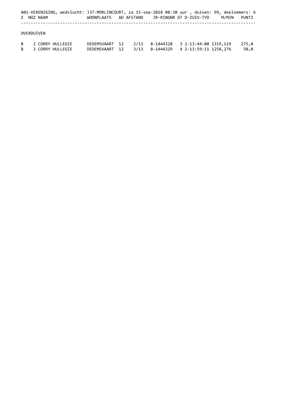|    |                  |                  | A01-VERENIGING, wedvlucht: J37-MORLINCOURT, za 15-sep-2018 08:30 uur , duiven: 99, deelnemers: 6 |  |                |  |  |                                 |       |       |  |
|----|------------------|------------------|--------------------------------------------------------------------------------------------------|--|----------------|--|--|---------------------------------|-------|-------|--|
|    | Z NOZ NAAM       |                  | WOONPLAATS AD AFSTAND JR-RINGNR GT D-ZUIV-TYD                                                    |  |                |  |  |                                 | M/MIN | PUNTZ |  |
|    |                  |                  |                                                                                                  |  |                |  |  |                                 |       |       |  |
|    | OVERDUIVEN       |                  |                                                                                                  |  |                |  |  |                                 |       |       |  |
| B  | 2 CORRY HULLEGIE |                  | DEDEMSVAART 12                                                                                   |  | 2/13           |  |  | 8-1444328 3 2-13:44:00 1319,119 |       | 275.0 |  |
| B. |                  | 3 CORRY HULLEGIE | DEDEMSVAART 12                                                                                   |  | 3/13 8-1444329 |  |  | 4 2-13:59:11 1258,276           |       | 50,0  |  |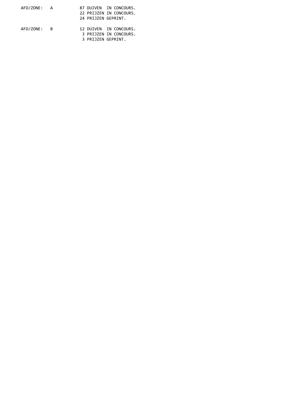| AFD/ZONE: A | 87 DUIVEN IN CONCOURS.  |
|-------------|-------------------------|
|             | 22 PRIJZEN IN CONCOURS. |
|             | 24 PRIJZEN GEPRINT.     |
| AFD/ZONE: B | 12 DUIVEN IN CONCOURS.  |
|             | 3 PRIJZEN IN CONCOURS.  |
|             | 3 PRIJZEN GEPRINT.      |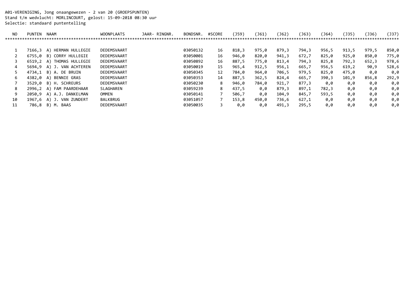A01-VERENIGING, Jong onaangewezen - 2 van 20 (GROEPSPUNTEN) Stand t/m wedvlucht: MORLINCOURT, gelost: 15-09-2018 08:30 uur Selectie: standaard puntentelling

| NO. | <b>PUNTEN</b> | <b>NAAM</b>           | <b>WOONPLAATS</b> | JAAR- RINGNR. | BONDSNR. | #SCORE | (J59) | (J61) | 〔J62〕 | 〔J63〕 | 'J64) | (J35) | 〔J36〕 | (J37) |
|-----|---------------|-----------------------|-------------------|---------------|----------|--------|-------|-------|-------|-------|-------|-------|-------|-------|
|     |               |                       |                   |               |          |        |       |       |       |       |       |       |       |       |
|     |               |                       |                   |               |          |        |       |       |       |       |       |       |       |       |
|     | 7166.3        | HERMAN HULLEGIE<br>A) | DEDEMSVAART       |               | 03050132 | 16     | 818,3 | 975,0 | 879,3 | 794,3 | 956,5 | 913,5 | 979,5 | 850,0 |
|     | 6755.0        | CORRY HULLEGIE<br>B)  | DEDEMSVAART       |               | 03050001 | 16     | 946,0 | 820,0 | 941,3 | 672,7 | 825,0 | 925,0 | 850,0 | 775,0 |
|     | 6519.2        | THOMAS HULLEGIE<br>A) | DEDEMSVAART       |               | 03050892 | 16     | 887,5 | 775,0 | 813,4 | 794,3 | 825,8 | 792.3 | 652,3 | 978,6 |
|     | 5694.9        | A) J. VAN ACHTEREN    | DEDEMSVAART       |               | 03050019 | 15     | 965,4 | 912,5 | 956,1 | 665,7 | 956,5 | 619,2 | 90,9  | 528,6 |
|     | 4734.1        | B) A. DE BRUIN        | DEDEMSVAART       |               | 03050345 | 12     | 784,0 | 964,0 | 706,5 | 979,5 | 825,0 | 475,0 | 0.0   | 0,0   |
| 6   | 4382.0        | BENNIE GRAS<br>A)     | DEDEMSVAART       |               | 03050353 | 14     | 887,5 | 362,5 | 824,4 | 665,7 | 390,3 | 101,9 | 856,8 | 292,9 |
|     | 3529.0        | B) H. SCHREURS        | DEDEMSVAART       |               | 03050230 | 8      | 946,0 | 784,0 | 921,7 | 877,3 | 0.0   | 0,0   | 0,0   | 0,0   |
| 8   | 2996,2        | FAM PAARDEHAAR<br>A)  | SLAGHAREN         |               | 03059239 | 8.     | 437,5 | 0.0   | 879,3 | 897,1 | 782,3 | 0.0   | 0,0   | 0,0   |
| 9   | 2050.9        | A) A.J. DANKELMAN     | OMMEN             |               | 03050141 |        | 506,7 | 0,0   | 104,9 | 845,7 | 593,5 | 0,0   | 0,0   | 0,0   |
| 10  | 1967.6        | A) J. VAN ZUNDERT     | BALKBRUG          |               | 03051057 |        | 153,8 | 450,0 | 736,6 | 627,1 | 0,0   | 0,0   | 0,0   | 0,0   |
| 11  | 786,8         | B)<br>М.<br>BAAS      | DEDEMSVAART       |               | 03050035 |        | 0.0   | 0.0   | 491,3 | 295,5 | 0,0   | 0.0   | 0,0   | 0,0   |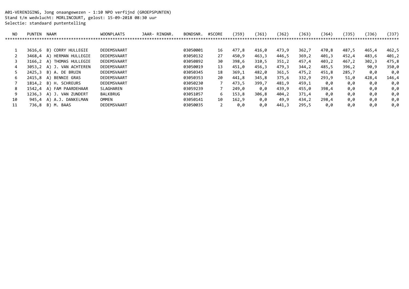A01-VERENIGING, Jong onaangewezen - 1:10 NPO verfijnd (GROEPSPUNTEN) Stand t/m wedvlucht: MORLINCOURT, gelost: 15-09-2018 08:30 uur Selectie: standaard puntentelling

| NO. | PUNTEN | NAAM                  | <b>WOONPLAATS</b> | JAAR- RINGNR. | BONDSNR. | #SCORE | (J59) | (J61) | $\left( 162\right)$ | [J63) | ( 164 ) | (J35) | (J36) | (J37) |
|-----|--------|-----------------------|-------------------|---------------|----------|--------|-------|-------|---------------------|-------|---------|-------|-------|-------|
|     |        |                       |                   |               |          |        |       |       |                     |       |         |       |       |       |
|     | 3616.6 | CORRY HULLEGIE<br>B)  | DEDEMSVAART       |               | 03050001 | 16     | 477,8 | 416,0 | 473,9               | 362,7 | 470,8   | 487,5 | 465,4 | 462,5 |
|     | 3468,4 | HERMAN HULLEGIE<br>A) | DEDEMSVAART       |               | 03050132 | 27     | 450,9 | 463,3 | 446,5               | 369,2 | 401,3   | 452,4 | 483,6 | 401,2 |
|     | 3166,2 | THOMAS HULLEGIE<br>A) | DEDEMSVAART       |               | 03050892 | 30     | 398,6 | 310,5 | 351,2               | 457,4 | 403,2   | 467,2 | 302,3 | 475,8 |
|     | 3053.2 | A) J. VAN ACHTEREN    | DEDEMSVAART       |               | 03050019 | 13     | 451,0 | 456,3 | 479,3               | 344,2 | 485,5   | 396,2 | 90,9  | 350,0 |
|     | 2425.3 | B) A. DE BRUIN        | DEDEMSVAART       |               | 03050345 | 18     | 369,1 | 482,0 | 361,5               | 475,2 | 451,8   | 285,7 | 0,0   | 0,0   |
| 6   | 2415,8 | BENNIE GRAS<br>A)     | DEDEMSVAART       |               | 03050353 | 20     | 441,8 | 345,8 | 375,6               | 332,9 | 293,9   | 51,0  | 428,4 | 146,4 |
|     | 1814,2 | B) H. SCHREURS        | DEDEMSVAART       |               | 03050230 |        | 473,5 | 399,7 | 481,9               | 459,1 | 0,0     | 0,0   | 0,0   | 0,0   |
| 8   | 1542.4 | A) FAM PAARDEHAAR     | SLAGHAREN         |               | 03059239 |        | 249,0 | 0.0   | 439,9               | 455,0 | 398,4   | 0,0   | 0,0   | 0,0   |
| 9   | 1236.3 | A) J. VAN ZUNDERT     | BALKBRUG          |               | 03051057 | 6      | 153,8 | 306,8 | 404,2               | 371,4 | 0.0     | 0,0   | 0,0   | 0,0   |
| 10  | 945,4  | A.J. DANKELMAN<br>A)  | OMMEN             |               | 03050141 | 10     | 162,9 | 0.0   | 49,9                | 434,2 | 298,4   | 0.0   | 0,0   | 0,0   |
| 11  | 736,8  | B) M. BAAS            | DEDEMSVAART       |               | 03050035 |        | 0.0   | 0,0   | 441,3               | 295,5 | 0.0     | 0.0   | 0,0   | 0,0   |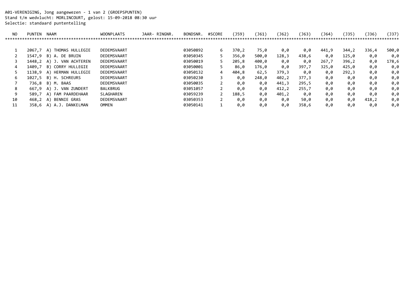A01-VERENIGING, Jong aangewezen - 1 van 2 (GROEPSPUNTEN) Stand t/m wedvlucht: MORLINCOURT, gelost: 15-09-2018 08:30 uur Selectie: standaard puntentelling

| NO. | PUNTEN | NAAM                  | <b>WOONPLAATS</b> | JAAR- RINGNR. | BONDSNR. | #SCORE | (J59) | (J61) | J62   | J63)  | (J64) | (J35) | 〔J36) | (J37) |
|-----|--------|-----------------------|-------------------|---------------|----------|--------|-------|-------|-------|-------|-------|-------|-------|-------|
|     |        |                       |                   |               |          |        |       |       |       |       |       |       |       | ***** |
|     | 2067.7 | THOMAS HULLEGIE<br>A) | DEDEMSVAART       |               | 03050892 | 6      | 370,2 | 75,0  | 0,0   | 0,0   | 441,9 | 344,2 | 336,4 | 500,0 |
|     | 1547,9 | A. DE BRUIN<br>B)     | DEDEMSVAART       |               | 03050345 | 5.     | 356,0 | 500,0 | 128,3 | 438,6 | 0.0   | 125,0 | 0.0   | 0,0   |
|     | 1448.2 | A) J. VAN ACHTEREN    | DEDEMSVAART       |               | 03050019 |        | 205,8 | 400,0 | 0,0   | 0.0   | 267,7 | 396,2 | 0,0   | 178,6 |
|     | 1409.7 | CORRY HULLEGIE<br>B)  | DEDEMSVAART       |               | 03050001 |        | 86,0  | 176,0 | 0,0   | 397,7 | 325,0 | 425,0 | 0,0   | 0,0   |
|     | 1138.9 | A) HERMAN HULLEGIE    | DEDEMSVAART       |               | 03050132 | 4      | 404,8 | 62,5  | 379,3 | 0.0   | 0,0   | 292,3 | 0,0   | 0,0   |
| 6   | 1027.5 | B) H. SCHREURS        | DEDEMSVAART       |               | 03050230 |        | 0,0   | 248,0 | 402,2 | 377,3 | 0,0   | 0.0   | 0,0   | 0,0   |
|     | 736,8  | B) M. BAAS            | DEDEMSVAART       |               | 03050035 |        | 0,0   | 0,0   | 441,3 | 295,5 | 0,0   | 0,0   | 0,0   | 0,0   |
| 8   | 667.9  | A) J. VAN ZUNDERT     | BALKBRUG          |               | 03051057 |        | 0,0   | 0.0   | 412,2 | 255,7 | 0.0   | 0.0   | 0,0   | 0,0   |
| 9   | 589.7  | FAM PAARDEHAAR<br>A)  | <b>SLAGHAREN</b>  |               | 03059239 |        | 188,5 | 0.0   | 401,2 | 0.0   | 0,0   | 0,0   | 0,0   | 0,0   |
| 10  | 468,2  | BENNIE GRAS<br>A)     | DEDEMSVAART       |               | 03050353 |        | 0,0   | 0,0   | 0.0   | 50,0  | 0,0   | 0,0   | 418,2 | 0,0   |
| 11  | 358.6  | A.J. DANKELMAN<br>A)  | OMMEN             |               | 03050141 |        | 0,0   | 0.0   | 0.0   | 358,6 | 0.0   | 0,0   | 0.0   | 0,0   |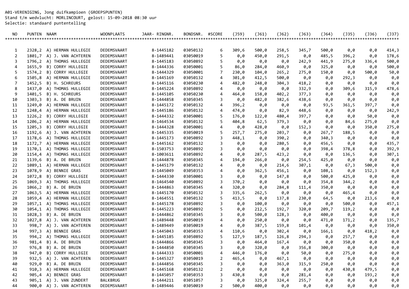A01-VERENIGING, Jong duifkampioen (GROEPSPUNTEN) Stand t/m wedvlucht: MORLINCOURT, gelost: 15-09-2018 08:30 uur Selectie: standaard puntentelling

| NO.            | PUNTEN NAAM |                           | <b>WOONPLAATS</b> | JAAR- RINGNR. | BONDSNR. | #SCORE         | $($ J59) | $($ 161) | $($ J62) | $($ 163) | $($ 164) | $($ J35) | (J36) | (J37)  |
|----------------|-------------|---------------------------|-------------------|---------------|----------|----------------|----------|----------|----------|----------|----------|----------|-------|--------|
|                |             |                           |                   |               |          |                |          |          |          |          |          |          |       | ****** |
|                |             |                           |                   |               |          |                |          |          |          |          |          |          |       |        |
| 1              |             | 2328,2 A) HERMAN HULLEGIE | DEDEMSVAART       | 8-1445182     | 03050132 | 6              | 309,6    | 500,0    | 258,5    | 345,7    | 500,0    | 0,0      | 0,0   | 414,3  |
| $\overline{2}$ |             | 1801,7 A) J. VAN ACHTEREN | DEDEMSVAART       | 8-1489441     | 03050019 | 5              | 0,0      | 450,0    | 291,5    | 0,0      | 485,5    | 396, 2   | 0,0   | 178,6  |
| 3              |             | 1796,2 A) THOMAS HULLEGIE | DEDEMSVAART       | 8-1445183     | 03050892 | 5              | 0,0      | 0,0      | 0,0      | 242,9    | 441,9    | 275,0    | 336,4 | 500,0  |
| 4              | 1655,9      | B) CORRY HULLEGIE         | DEDEMSVAART       | 8-1444336     | 03050001 | 5              | 86,0     | 284,0    | 460,9    | 0,0      | 325,0    | 0,0      | 0,0   | 500,0  |
| 5              |             | 1574,2 B) CORRY HULLEGIE  | DEDEMSVAART       | 8-1444329     | 03050001 | $\overline{7}$ | 230,0    | 104,0    | 265, 2   | 275,0    | 150,0    | 0,0      | 500,0 | 50,0   |
| 6              | 1505,8      | A) HERMAN HULLEGIE        | DEDEMSVAART       | 8-1445169     | 03050132 | 4              | 301,0    | 412,5    | 500,0    | 0,0      | 0,0      | 292,3    | 0,0   | 0,0    |
| 7              | 1452,5      | B) H. SCHREURS            | DEDEMSVAART       | 8-1445116     | 03050230 | 4              | 482,0    | 248,0    | 304,3    | 418,2    | 0,0      | 0,0      | 0,0   | 0,0    |
| 8              | 1437,0      | A) THOMAS HULLEGIE        | DEDEMSVAART       | 8-1445224     | 03050892 | 4              | 0,0      | 0,0      | 0,0      | 332,9    | 0,0      | 309,6    | 315,9 | 478,6  |
| 9              |             | 1401,5 B) H. SCHREURS     | DEDEMSVAART       | 8-1445105     | 03050230 | 4              | 464,0    | 158,0    | 402,2    | 377,3    | 0,0      | 0,0      | 0,0   | 0,0    |
| 10             |             | 1303,3 B) A. DE BRUIN     | DEDEMSVAART       | 8-1444858     | 03050345 | 3              | 0,0      | 482,0    | 382,6    | 438,6    | 0,0      | 0,0      | 0,0   | 0,0    |
| 11             | 1249,0      | A) HERMAN HULLEGIE        | DEDEMSVAART       | 8-1445172     | 03050132 | 4              | 396,2    | 0,0      | 0,0      | 0,0      | 93,5     | 361,5    | 397,7 | 0,0    |
| 12             |             | 1248,4 A) HERMAN HULLEGIE | DEDEMSVAART       | 8-1445186     | 03050132 | 4              | 474,0    | 0,0      | 82,9     | 448,6    | 0,0      | 0,0      | 0,0   | 242,9  |
| 13             |             | 1226,2 B) CORRY HULLEGIE  | DEDEMSVAART       | 8-1444332     | 03050001 | 5              | 176,0    | 122,0    | 480,4    | 397,7    | 0,0      | 0,0      | 50,0  | 0,0    |
| 14             |             | 1206,2 A) HERMAN HULLEGIE | DEDEMSVAART       | 8-1464534     | 03050132 | 5              | 404,8    | 62,5     | 379,3    | 0,0      | 0,0      | 84,6     | 275,0 | 0,0    |
| 15             |             | 1205,3 B) CORRY HULLEGIE  | DEDEMSVAART       | 8-1444328     | 03050001 | 4              | 0,0      | 428,0    | 0,0      | 152,3    | 0,0      | 0,0      | 350,0 | 275,0  |
| 16             |             | 1192,6 A) J. VAN ACHTEREN | DEDEMSVAART       | 8-1445335     | 03050019 | 5              | 257,7    | 275,0    | 203,7    | 0,0      | 267,7    | 188,5    | 0,0   | 0,0    |
| 17             |             | 1178,6 A) THOMAS HULLEGIE | DEDEMSVAART       | 8-1445173     | 03050892 | 3              | 448,1    | 0,0      | 390,2    | 0,0      | 340,3    | 0,0      | 0,0   | 0,0    |
| 18             |             | 1172,7 A) HERMAN HULLEGIE | DEDEMSVAART       | 8-1445162     | 03050132 | 3              | 0,0      | 0,0      | 280,5    | 0,0      | 456,5    | 0,0      | 0,0   | 435,7  |
| 19             |             | 1170,1 A) THOMAS HULLEGIE | DEDEMSVAART       | 8-1503753     | 03050892 | 3              | 0,0      | 0,0      | 0,0      | 0,0      | 398,4    | 378,8    | 0,0   | 392,9  |
| 20             |             | 1154,4 A) THOMAS HULLEGIE | DEDEMSVAART       | 8-1003611     | 03050892 | 4              | 0,0      | 287,5    | 423,2    | 0,0      | 0,0      | 136,5    | 0,0   | 307,1  |
| 21             |             | 1139,6 B) A. DE BRUIN     | DEDEMSVAART       | 8-1444878     | 03050345 | 4              | 194,0    | 266,0    | 0,0      | 254,5    | 425,0    | 0,0      | 0,0   | 0,0    |
| 22             |             | 1089,1 A) HERMAN HULLEGIE | DEDEMSVAART       | 8-1445179     | 03050132 | 4              | 0,0      | 0,0      | 214,6    | 307,1    | 0,0      | 67,3     | 500,0 | 0,0    |
| 23             | 1078,9      | A) BENNIE GRAS            | DEDEMSVAART       | 8-1445049     | 03050353 | 4              | 0,0      | 362,5    | 456,1    | 0,0      | 108,1    | 0,0      | 152,3 | 0,0    |
| 24             | 1072,8      | B) CORRY HULLEGIE         | DEDEMSVAART       | 8-1444330     | 03050001 | 3              | 0,0      | 0,0      | 147,8    | 0,0      | 500,0    | 425,0    | 0,0   | 0,0    |
| 25             |             | 1069,3 A) THOMAS HULLEGIE | DEDEMSVAART       | 8-1464540     | 03050892 | 3              | 370,2    | 0,0      | 0,0      | 0,0      | 354,8    | 344,2    | 0,0   | 0,0    |
| 26             |             | 1066,2 B) A. DE BRUIN     | DEDEMSVAART       | 8-1444863     | 03050345 | 4              | 320,0    | 0,0      | 284,8    | 111,4    | 350,0    | 0,0      | 0,0   | 0,0    |
| 27             | 1063,5      | A) HERMAN HULLEGIE        | DEDEMSVAART       | 8-1445170     | 03050132 | 3              | 335,6    | 262,5    | 0,0      | 0,0      | 0,0      | 465,4    | 0,0   | 0,0    |
| 28             |             | 1059,4 A) HERMAN HULLEGIE | DEDEMSVAART       | 8-1464551     | 03050132 | 5              | 413,5    | 0,0      | 137,8    | 230,0    | 64,5     | 0,0      | 213,6 | 0,0    |
| 29             |             | 1057,1 A) THOMAS HULLEGIE | DEDEMSVAART       | 8-1445178     | 03050892 | 3              | 0,0      | 100,0    | 0,0      | 0,0      | 0,0      | 500,0    | 0,0   | 457,1  |
| 30             |             | 1054,1 A) THOMAS HULLEGIE | DEDEMSVAART       | 8-1445223     | 03050892 | 5              | 0,0      | 212,5    | 192,7    | 320,0    | 209,7    | 119,2    | 0,0   | 0,0    |
| 31             | 1028,3      | B) A. DE BRUIN            | DEDEMSVAART       | 8-1444862     | 03050345 | 3              | 0,0      | 500,0    | 128,3    | 0,0      | 400,0    | 0,0      | 0,0   | 0,0    |
| 32             | 1027,8      | A) J. VAN ACHTEREN        | DEDEMSVAART       | 8-1489448     | 03050019 | 4              | 0,0      | 250,0    | 0,0      | 0,0      | 471,0    | 171,2    | 0,0   | 135,7  |
| 33             |             | 998,7 A) J. VAN ACHTEREN  | DEDEMSVAART       | 8-1489449     | 03050019 | 4              | 0,0      | 387,5    | 159,8    | 101,4    | 0,0      | 0,0      | 0,0   | 350,0  |
| 34             |             | 997,3 A) BENNIE GRAS      | DEDEMSVAART       | 8-1445043     | 03050353 | 4              | 110,6    | 0,0      | 302,4    | 0,0      | 166,1    | 0,0      | 418,2 | 0,0    |
| 35             |             | 994,2 A) THOMAS HULLEGIE  | DEDEMSVAART       | 8-1445185     | 03050892 | 5              | 127,9    | 187,5    | 126,8    | 294,3    | 0,0      | 257,7    | 0,0   | 0,0    |
| 36             | 981,4       | B) A. DE BRUIN            | DEDEMSVAART       | 8-1444866     | 03050345 | 3              | 0,0      | 464,0    | 167,4    | 0,0      | 0,0      | 350,0    | 0,0   | 0,0    |
| 37             | 976,8       | B) A. DE BRUIN            | DEDEMSVAART       | 8-1444850     | 03050345 | 3              | 0.0      | 320.0    | 0,0      | 356,8    | 300,0    | 0.0      | 0,0   | 0,0    |
| 38             |             | 947,0 B) CORRY HULLEGIE   | DEDEMSVAART       | 8-1444333     | 03050001 | 4              | 446,0    | 176,0    | 0,0      | 50,0     | 0,0      | 275,0    | 0,0   | 0,0    |
| 39             |             | 932,5 A) J. VAN ACHTEREN  | DEDEMSVAART       | 8-1445327     | 03050019 | 2              | 465,4    | 0,0      | 467,1    | 0,0      | 0,0      | 0,0      | 0,0   | 0,0    |
| 40             |             | 929,0 B) A. DE BRUIN      | DEDEMSVAART       | 8-1444856     | 03050345 | 3              | 0,0      | 0,0      | 363,0    | 315,9    | 250,0    | 0,0      | 0,0   | 0,0    |
| 41             |             | 910,3 A) HERMAN HULLEGIE  | DEDEMSVAART       | 8-1445168     | 03050132 | 2              | 0,0      | 0,0      | 0,0      | 0,0      | 0,0      | 430,8    | 479,5 | 0,0    |
| 42             |             | 905,4 A) BENNIE GRAS      | DEDEMSVAART       | 8-1445057     | 03050353 | 3              | 430,8    | 0,0      | 0,0      | 281,4    | 0,0      | 0,0      | 193,2 | 0,0    |
| 43             |             | 905,1 A) J. VAN ZUNDERT   | <b>BALKBRUG</b>   | 8-1444211     | 03051057 | 3              | 0,0      | 325,0    | 324,4    | 255,7    | 0,0      | 0,0      | 0,0   | 0,0    |
| 44             |             | 900,0 A) J. VAN ACHTEREN  | DEDEMSVAART       | 8-1489446     | 03050019 | 2              | 500,0    | 400,0    | 0,0      | 0,0      | 0,0      | 0,0      | 0,0   | 0,0    |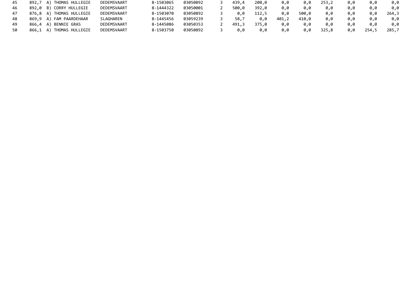| 45 | 892,7 A) THOMAS HULLEGIE | DEDEMSVAART | 8-1503065 | 03050892 | 439.4 | 200,0 | 0.0   | 0.0   | 253,2 | 0.0 | 0.0   | 0.0   |
|----|--------------------------|-------------|-----------|----------|-------|-------|-------|-------|-------|-----|-------|-------|
| 46 | 892,0 B) CORRY HULLEGIE  | DEDEMSVAART | 8-1444322 | 03050001 | 500.0 | 392.0 | 0.0   | 0,0   | 0.0   | 0.0 | 0.0   | 0.0   |
| 47 | 876,8 A) THOMAS HULLEGIE | DEDEMSVAART | 8-1503070 | 03050892 | 0.0   | 112,5 | 0,0   | 500,0 | 0.0   | 0.0 | 0.0   | 264,3 |
| 48 | 869,9 A) FAM PAARDEHAAR  | SLAGHAREN   | 8-1445456 | 03059239 | 58.7  | 0,0   | 401,2 | 410.0 | 0.0   | 0.0 | 0.0   | 0.0   |
| 49 | 866,4 A) BENNIE GRAS     | DEDEMSVAART | 8-1445086 | 03050353 | 491.3 | 375.0 | 0.0   | 0.0   | 0.0   | 0.0 | 0.0   | 0.0   |
|    | 866,1 A) THOMAS HULLEGIE | DEDEMSVAART | 8-1503750 | 03050892 | 0.0   | 0.0   | 0,0   | 0,0   | 325,8 | 0.0 | 254,5 | 285,7 |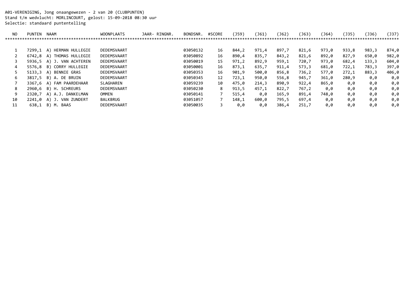A01-VERENIGING, Jong onaangewezen - 2 van 20 (CLUBPUNTEN) Stand t/m wedvlucht: MORLINCOURT, gelost: 15-09-2018 08:30 uur Selectie: standaard puntentelling

| NO. | <b>PUNTEN</b> | <b>NAAM</b>           | <b>WOONPLAATS</b> | JAAR- RINGNR. | BONDSNR. | #SCORE | (J59) | (J61) | 〔J62〕 | 〔J63〕 | (J64) | (J35) | 〔J36〕 | (J37) |
|-----|---------------|-----------------------|-------------------|---------------|----------|--------|-------|-------|-------|-------|-------|-------|-------|-------|
|     |               |                       |                   |               |          |        |       |       |       |       |       |       |       |       |
|     |               |                       |                   |               |          |        |       |       |       |       |       |       |       |       |
|     | 7299.1        | HERMAN HULLEGIE<br>A) | DEDEMSVAART       |               | 03050132 | 16     | 844,2 | 971,4 | 897,7 | 821,6 | 973,0 | 933,8 | 983,3 | 874,0 |
|     | 6742.8        | THOMAS HULLEGIE<br>A) | DEDEMSVAART       |               | 03050892 | 16     | 890,4 | 835,7 | 843,2 | 821,6 | 892,0 | 827,9 | 650,0 | 982,0 |
|     | 5936.5        | A) J. VAN ACHTEREN    | DEDEMSVAART       |               | 03050019 | 15     | 971,2 | 892,9 | 959,1 | 720,7 | 973,0 | 682,4 | 133,3 | 604,0 |
|     | 5576.8        | CORRY HULLEGIE<br>B)  | DEDEMSVAART       |               | 03050001 | 16     | 873,1 | 635,7 | 911,4 | 573,3 | 681,0 | 722,1 | 783,3 | 397,0 |
|     | 5133.3        | BENNIE GRAS<br>A)     | DEDEMSVAART       |               | 03050353 | 16     | 901,9 | 500,0 | 856,8 | 736,2 | 577,0 | 272,1 | 883,3 | 406,0 |
| 6   | 3817.5        | B) A. DE BRUIN        | DEDEMSVAART       |               | 03050345 | 12     | 723,1 | 950,0 | 556,8 | 945,7 | 361,0 | 280,9 | 0,0   | 0,0   |
|     | 3367.6        | A) FAM PAARDEHAAR     | SLAGHAREN         |               | 03059239 | 10     | 475,0 | 214,3 | 890,9 | 922,4 | 865,0 | 0,0   | 0,0   | 0,0   |
| 8   | 2960.6        | B) H. SCHREURS        | DEDEMSVAART       |               | 03050230 | 8      | 913,5 | 457,1 | 822,7 | 767,2 | 0.0   | 0.0   | 0,0   | 0,0   |
| 9   | 2320.7        | A) A.J. DANKELMAN     | OMMEN             |               | 03050141 |        | 515,4 | 0,0   | 165,9 | 891,4 | 748,0 | 0,0   | 0,0   | 0,0   |
| 10  | 2241.0        | A) J. VAN ZUNDERT     | BALKBRUG          |               | 03051057 |        | 148,1 | 600,0 | 795,5 | 697,4 | 0,0   | 0.0   | 0,0   | 0,0   |
| 11  | 638,1         | B)<br>M. BAAS         | DEDEMSVAART       |               | 03050035 |        | 0.0   | 0.0   | 386,4 | 251,7 | 0,0   | 0.0   | 0,0   | 0,0   |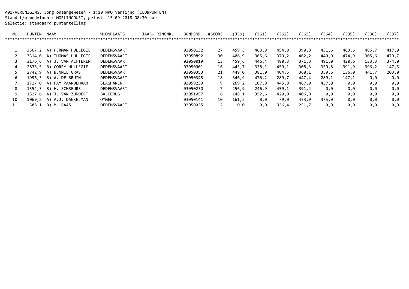A01-VERENIGING, Jong onaangewezen - 1:10 NPO verfijnd (CLUBPUNTEN) Stand t/m wedvlucht: MORLINCOURT, gelost: 15-09-2018 08:30 uur Selectie: standaard puntentelling

| NO. | <b>PUNTEN</b> | <b>NAAM</b>           | <b>WOONPLAATS</b> | JAAR- RINGNR. | BONDSNR. | #SCORE | (J59) | (J61) | $($ J62 $)$ | 〔J63〕 | (J64) | 〔J35) | (J36) | (J37) |
|-----|---------------|-----------------------|-------------------|---------------|----------|--------|-------|-------|-------------|-------|-------|-------|-------|-------|
|     |               |                       |                   |               |          |        |       |       |             |       |       |       |       | ***** |
|     |               |                       |                   |               |          |        |       |       |             |       |       |       |       |       |
|     | 3567,2        | HERMAN HULLEGIE<br>A) | DEDEMSVAART       |               | 03050132 | 27     | 459,3 | 463,8 | 454,8       | 390,3 | 431,6 | 463,6 | 486,7 | 417,0 |
|     | 3314.0        | THOMAS HULLEGIE<br>A) | DEDEMSVAART       |               | 03050892 | 30     | 406,9 | 365,6 | 379,2       | 462,2 | 440,0 | 474,9 | 305,6 | 479,7 |
|     | 3176.6        | A) J. VAN ACHTEREN    | DEDEMSVAART       |               | 03050019 | 13     | 459,6 | 446,4 | 480,3       | 371,3 | 491,0 | 420,6 | 133,3 | 374,0 |
|     | 2835.5        | CORRY HULLEGIE<br>B)  | DEDEMSVAART       |               | 03050001 | 16     | 443,7 | 338,1 | 459,1       | 308,3 | 350,8 | 391,9 | 396,2 | 147,5 |
|     | 2742.9        | BENNIE GRAS<br>A)     | DEDEMSVAART       |               | 03050353 | 21     | 449.0 | 381,0 | 404,5       | 368,1 | 359,6 | 136,0 | 441,7 | 203,0 |
| 6   | 1996.3        | B) A. DE BRUIN        | DEDEMSVAART       |               | 03050345 | 18     | 346,9 | 476,2 | 289,7       | 447,4 | 289,1 | 147,1 | 0,0   | 0,0   |
|     | 1727.0        | FAM PAARDEHAAR<br>A)  | SLAGHAREN         |               | 03059239 | 9      | 269,2 | 107,9 | 445,8       | 467,0 | 437.0 | 0.0   | 0,0   | 0,0   |
| 8   | 1554.3        | B) H. SCHREURS        | DEDEMSVAART       |               | 03050230 |        | 456,9 | 246,9 | 459,1       | 391,4 | 0.0   | 0.0   | 0,0   | 0,0   |
| 9   | 1327.6        | A) J. VAN ZUNDERT     | BALKBRUG          |               | 03051057 | 6      | 148,1 | 352,6 | 420,0       | 406,9 | 0.0   | 0,0   | 0,0   | 0,0   |
| 10  | 1069,2        | A) A.J. DANKELMAN     | OMMEN             |               | 03050141 | 10     | 161,2 | 0,0   | 79,0        | 453,9 | 375,0 | 0.0   | 0,0   | 0,0   |
| 11  | 588.1         | B)<br>M. BAAS         | DEDEMSVAART       |               | 03050035 |        | 0.0   | 0.0   | 336,4       | 251,7 | 0.0   | 0,0   | 0.0   | 0,0   |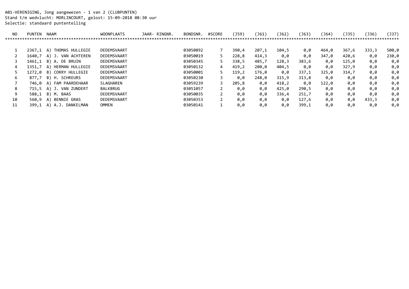A01-VERENIGING, Jong aangewezen - 1 van 2 (CLUBPUNTEN) Stand t/m wedvlucht: MORLINCOURT, gelost: 15-09-2018 08:30 uur Selectie: standaard puntentelling

| NO. | <b>PUNTEN</b> | <b>NAAM</b>             | <b>WOONPLAATS</b> | JAAR- RINGNR. | BONDSNR. | #SCORE | (J59) | (J61) | $($ J62 $)$ | J63   | (J64) | (J35) | 〔J36) | (J37) |
|-----|---------------|-------------------------|-------------------|---------------|----------|--------|-------|-------|-------------|-------|-------|-------|-------|-------|
|     |               |                         |                   |               |          |        |       |       |             |       |       |       |       | ***** |
|     |               |                         |                   |               |          |        |       |       |             |       |       |       |       |       |
|     | 2367,1        | THOMAS HULLEGIE<br>A)   | DEDEMSVAART       |               | 03050892 |        | 390,4 | 207,1 | 104,5       | 0,0   | 464,0 | 367,6 | 333,3 | 500,0 |
|     | 1640,7        | A) J. VAN ACHTEREN      | DEDEMSVAART       |               | 03050019 | 5.     | 228,8 | 414,3 | 0,0         | 0.0   | 347,0 | 420,6 | 0,0   | 230,0 |
|     | 1461,1        | B)<br>A. DE BRUIN       | DEDEMSVAART       |               | 03050345 |        | 338,5 | 485,7 | 128,3       | 383,6 | 0,0   | 125,0 | 0,0   | 0,0   |
| 4   | 1351.7        | HERMAN HULLEGIE<br>A)   | DEDEMSVAART       |               | 03050132 | 4      | 419,2 | 200,0 | 404,5       | 0,0   | 0,0   | 327,9 | 0,0   | 0,0   |
|     | 1272.0        | CORRY HULLEGIE<br>B)    | DEDEMSVAART       |               | 03050001 | 5.     | 119.2 | 176,0 | 0.0         | 337,1 | 325,0 | 314,7 | 0,0   | 0,0   |
| ь   | 877,7         | H. SCHREURS<br>B)       | DEDEMSVAART       |               | 03050230 |        | 0.0   | 248,0 | 315,9       | 313,8 | 0.0   | 0.0   | 0,0   | 0,0   |
|     | 746,0         | FAM PAARDEHAAR<br>A)    | SLAGHAREN         |               | 03059239 |        | 205,8 | 0,0   | 418,2       | 0,0   | 122,0 | 0,0   | 0,0   | 0,0   |
| 8   | 715,5         | A) J. VAN ZUNDERT       | BALKBRUG          |               | 03051057 |        | 0,0   | 0.0   | 425,0       | 290,5 | 0.0   | 0.0   | 0,0   | 0,0   |
| 9   | 588.1         | B)<br>M. BAAS           | DEDEMSVAART       |               | 03050035 |        | 0,0   | 0.0   | 336,4       | 251,7 | 0,0   | 0.0   | 0,0   | 0,0   |
| 10  | 560.9         | BENNIE GRAS<br>A)       | DEDEMSVAART       |               | 03050353 |        | 0,0   | 0,0   | 0.0         | 127,6 | 0,0   | 0,0   | 433,3 | 0,0   |
| 11  | 399.1         | DANKELMAN<br>A.J.<br>A) | <b>OMMEN</b>      |               | 03050141 |        | 0,0   | 0.0   | 0.0         | 399,1 | 0.0   | 0,0   | 0.0   | 0,0   |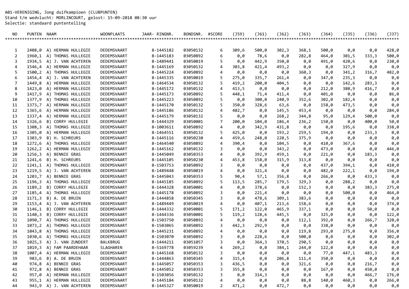A01-VERENIGING, Jong duifkampioen (CLUBPUNTEN) Stand t/m wedvlucht: MORLINCOURT, gelost: 15-09-2018 08:30 uur Selectie: standaard puntentelling

| NO. | PUNTEN NAAM |                           | <b>WOONPLAATS</b> | JAAR- RINGNR. | BONDSNR. | #SCORE | $($ J59) | $($ J61 $)$ | $($ 162) | $($ 163) | (J64) | $($ J35) | $($ J 36) | $($ J37) |
|-----|-------------|---------------------------|-------------------|---------------|----------|--------|----------|-------------|----------|----------|-------|----------|-----------|----------|
|     |             |                           |                   |               |          |        |          |             |          |          |       |          |           | ******   |
|     |             |                           |                   |               |          |        |          |             |          |          |       |          |           |          |
| 1   | 2408,0      | A) HERMAN HULLEGIE        | DEDEMSVAART       | 8-1445182     | 03050132 | 6      | 309,6    | 500,0       | 302,3    | 368,1    | 500,0 | 0,0      | 0,0       | 428,0    |
| 2   | 1960,1      | A) THOMAS HULLEGIE        | DEDEMSVAART       | 8-1445183     | 03050892 | 6      | 0,0      | 78,6        | 0,0      | 282,8    | 464,0 | 301,5    | 333,3     | 500,0    |
| 3   | 1934,5      | A) J. VAN ACHTEREN        | DEDEMSVAART       | 8-1489441     | 03050019 | 5      | 0,0      | 442,9       | 350,0    | 0,0      | 491,0 | 420,6    | 0,0       | 230,0    |
| 4   |             | 1546,4 A) HERMAN HULLEGIE | DEDEMSVAART       | 8-1445169     | 03050132 | 4      | 303,8    | 421,4       | 493,2    | 0,0      | 0,0   | 327,9    | 0,0       | 0,0      |
| 5   |             | 1500,2 A) THOMAS HULLEGIE | DEDEMSVAART       | 8-1445224     | 03050892 | 4      | 0,0      | 0,0         | 0,0      | 360,3    | 0,0   | 341,2    | 316,7     | 482,0    |
| 6   |             | 1454,4 A) J. VAN ACHTEREN | DEDEMSVAART       | 8-1445335     | 03050019 | 5      | 275,0    | 335,7       | 261,4    | 0,0      | 347,0 | 235,3    | 0,0       | 0,0      |
| 7   | 1449,8      | A) HERMAN HULLEGIE        | DEDEMSVAART       | 8-1464534     | 03050132 | 5      | 419,2    | 200,0       | 404,5    | 0,0      | 0,0   | 142,6    | 283,3     | 0,0      |
| 8   |             | 1423,0 A) HERMAN HULLEGIE | DEDEMSVAART       | 8-1445172     | 03050132 | 4      | 413,5    | 0,0         | 0,0      | 0,0      | 212,0 | 380,9    | 416,7     | 0,0      |
| 9   |             | 1417,9 A) THOMAS HULLEGIE | DEDEMSVAART       | 8-1445173     | 03050892 | 5      | 448,1    | 71,4        | 411,4    | 0,0      | 401,0 | 0,0      | 0,0       | 86,0     |
| 10  | 1377,9      | A) THOMAS HULLEGIE        | DEDEMSVAART       | 8-1445223     | 03050892 | 5      | 0,0      | 300,0       | 240,9    | 352,6    | 302,0 | 182,4    | 0,0       | 0,0      |
| 11  |             | 1373,7 A) HERMAN HULLEGIE | DEDEMSVAART       | 8-1445170     | 03050132 | 5      | 350,0    | 328,6       | 63,6     | 0,0      | 158,0 | 473,5    | 0,0       | 0,0      |
| 12  | 1365,6      | A) HERMAN HULLEGIE        | DEDEMSVAART       | 8-1445186     | 03050132 | 4      | 482,7    | 0,0         | 145,5    | 453,4    | 0,0   | 0,0      | 0,0       | 284,0    |
| 13  |             | 1337,4 A) HERMAN HULLEGIE | DEDEMSVAART       | 8-1445179     | 03050132 | 5      | 0,0      | 0,0         | 268, 2   | 344,8    | 95,0  | 129,4    | 500,0     | 0,0      |
| 14  | 1326,6      | B) CORRY HULLEGIE         | DEDEMSVAART       | 8-1444329     | 03050001 | 7      | 200,0    | 104,0       | 186,4    | 236,2    | 150,0 | 0,0      | 400,0     | 50,0     |
| 15  |             | 1308,3 A) THOMAS HULLEGIE | DEDEMSVAART       | 8-1003611     | 03050892 | 4      | 0,0      | 342,9       | 431,8    | 0,0      | 0,0   | 195,6    | 0,0       | 338,0    |
| 16  |             | 1305,0 A) HERMAN HULLEGIE | DEDEMSVAART       | 8-1464551     | 03050132 | 5      | 425,0    | 0,0         | 193, 2   | 259,5    | 194,0 | 0,0      | 233,3     | 0,0      |
| 17  |             | 1303,9 B) H. SCHREURS     | DEDEMSVAART       | 8-1445116     | 03050230 | 4      | 459,6    | 248,0       | 220,5    | 375,9    | 0,0   | 0,0      | 0,0       | 0,0      |
| 18  |             | 1272,6 A) THOMAS HULLEGIE | DEDEMSVAART       | 8-1464540     | 03050892 | 4      | 390,4    | 0,0         | 104,5    | 0,0      | 410,0 | 367,6    | 0,0       | 0,0      |
| 19  |             | 1262,2 A) HERMAN HULLEGIE | DEDEMSVAART       | 8-1445162     | 03050132 | 3      | 0,0      | 0,0         | 343,2    | 0,0      | 473,0 | 0,0      | 0,0       | 446,0    |
| 20  | 1256,3      | A) BENNIE GRAS            | DEDEMSVAART       | 8-1445049     | 03050353 | 4      | 0,0      | 392,9       | 459,1    | 0,0      | 221,0 | 0,0      | 183,3     | 0,0      |
| 21  | 1241,6      | B) H. SCHREURS            | DEDEMSVAART       | 8-1445105     | 03050230 | 4      | 453,8    | 158,0       | 315,9    | 313,8    | 0,0   | 0,0      | 0,0       | 0,0      |
| 22  |             | 1241,1 A) THOMAS HULLEGIE | DEDEMSVAART       | 8-1503753     | 03050892 | 3      | 0,0      | 0,0         | 0,0      | 0,0      | 437,0 | 394,1    | 0,0       | 410,0    |
| 23  |             | 1219,5 A) J. VAN ACHTEREN | DEDEMSVAART       | 8-1489448     | 03050019 | 4      | 0,0      | 321,4       | 0,0      | 0,0      | 482,0 | 222,1    | 0,0       | 194,0    |
| 24  |             | 1203,7 A) BENNIE GRAS     | DEDEMSVAART       | 8-1445043     | 03050353 | 5      | 90,4     | 57,1        | 356,8    | 0,0      | 266,0 | 0,0      | 433,3     | 0,0      |
| 25  |             | 1196,3 A) THOMAS HULLEGIE | DEDEMSVAART       | 8-1445185     | 03050892 | 5      | 113,5    | 285,7       | 179,5    | 329,3    | 0,0   | 288,2    | 0,0       | 0,0      |
| 26  | 1189,2      | B) CORRY HULLEGIE         | DEDEMSVAART       | 8-1444328     | 03050001 | 4      | 0,0      | 378,6       | 0,0      | 152,3    | 0,0   | 0,0      | 383,3     | 275,0    |
| 27  |             | 1185,4 A) THOMAS HULLEGIE | DEDEMSVAART       | 8-1445178     | 03050892 | 3      | 0,0      | 221,4       | 0,0      | 0,0      | 0,0   | 500,0    | 0,0       | 464,0    |
| 28  | 1171,3      | B) A. DE BRUIN            | DEDEMSVAART       | 8-1444858     | 03050345 | 3      | 0,0      | 478,6       | 309,1    | 383,6    | 0,0   | 0,0      | 0,0       | 0,0      |
| 29  |             | 1153,4 A) J. VAN ACHTEREN | DEDEMSVAART       | 8-1489449     | 03050019 | 4      | 0,0      | 407,1       | 213,6    | 158,6    | 0,0   | 0,0      | 0,0       | 374,0    |
| 30  | 1146,1      | B) CORRY HULLEGIE         | DEDEMSVAART       | 8-1444332     | 03050001 | 5      | 171,2    | 122,0       | 465,9    | 337,1    | 0,0   | 0,0      | 50,0      | 0,0      |
| 31  | 1140,3      | B) CORRY HULLEGIE         | DEDEMSVAART       | 8-1444336     | 03050001 | 5      | 119,2    | 128,6       | 445,5    | 0,0      | 325,0 | 0,0      | 0,0       | 122,0    |
| 32  |             | 1090,7 A) THOMAS HULLEGIE | DEDEMSVAART       | 8-1503750     | 03050892 | 4      | 0,0      | 0,0         | 0,0      | 112,1    | 392,0 | 0,0      | 266,7     | 320,0    |
| 33  |             | 1073,2 A) THOMAS HULLEGIE | DEDEMSVAART       | 8-1503065     | 03050892 | 3      | 442,3    | 292,9       | 0,0      | 0,0      | 338,0 | 0,0      | 0,0       | 0,0      |
| 34  |             | 1043,8 A) THOMAS HULLEGIE | DEDEMSVAART       | 8-1445231     | 03050892 | 4      | 0,0      | 0,0         | 0,0      | 119,8    | 293,0 | 275,0    | 0,0       | 356,0    |
| 35  | 1030,6      | A) THOMAS HULLEGIE        | DEDEMSVAART       | 8-1503070     | 03050892 | 3      | 0,0      | 228,6       | 0,0      | 500,0    | 0,0   | 0,0      | 0,0       | 302,0    |
| 36  | 1025, 3     | A) J. VAN ZUNDERT         | BALKBRUG          | 8-1444211     | 03051057 | 3      | 0,0      | 364,3       | 370,5    | 290,5    | 0,0   | 0,0      | 0,0       | 0,0      |
| 37  | 1019,3      | A) FAM PAARDEHAAR         | SLAGHAREN         | 8-5169778     | 03059239 | 4      | 269,2    | 0.0         | 384,1    | 244,0    | 122,0 | 0,0      | 0.0       | 0,0      |
| 38  |             | 1007,4 A) HERMAN HULLEGIE | DEDEMSVAART       | 8-1445168     | 03050132 | 3      | 0,0      | 0,0         | 0,0      | 0,0      | 77,0  | 447,1    | 483,3     | 0,0      |
| 39  |             | 983,6 B) A. DE BRUIN      | DEDEMSVAART       | 8-1444863     | 03050345 | 4      | 315,4    | 0,0         | 206,8    | 111,4    | 350,0 | 0,0      | 0,0       | 0,0      |
| 40  |             | 974,8 A) BENNIE GRAS      | DEDEMSVAART       | 8-1445057     | 03050353 | 3      | 436,5    | 0,0         | 0,0      | 321,6    | 0,0   | 0,0      | 216,7     | 0,0      |
| 41  |             | 972,8 A) BENNIE GRAS      | DEDEMSVAART       | 8-1445052     | 03050353 | 3      | 355,8    | 0,0         | 0,0      | 0,0      | 167,0 | 0,0      | 450,0     | 0,0      |
| 42  |             | 957,0 A) HERMAN HULLEGIE  | DEDEMSVAART       | 8-1503056     | 03050132 | 3      | 0,0      | 314,3       | 0,0      | 0,0      | 0,0   | 0,0      | 466,7     | 176,0    |
| 43  |             | 955,1 A) HERMAN HULLEGIE  | DEDEMSVAART       | 8-1445184     | 03050132 | 4      | 0,0      | 0,0         | 0,0      | 88,8     | 140,0 | 460,3    | 0,0       | 266,0    |
| 44  |             | 943,9 A) J. VAN ACHTEREN  | DEDEMSVAART       | 8-1445327     | 03050019 | 2      | 471,2    | 0,0         | 472,7    | 0,0      | 0,0   | 0,0      | 0,0       | 0,0      |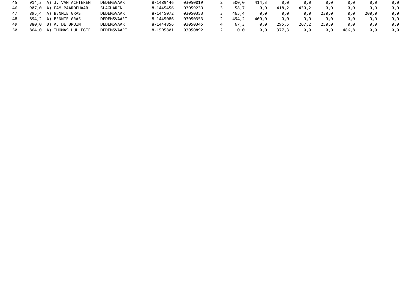| 45 | 914,3 A) J. VAN ACHTEREN | DEDEMSVAART | 8-1489446 | 03050019 | 500.0 | 414.3 | 0.0   | 0.0   | 0.0   | 0.0   | 0.0   | 0.0 |
|----|--------------------------|-------------|-----------|----------|-------|-------|-------|-------|-------|-------|-------|-----|
| 46 | 907,0 A) FAM PAARDEHAAR  | SLAGHAREN   | 8-1445456 | 03059239 | 58,7  | 0.0   | 418,2 | 430,2 | 0.0   | 0.0   | 0.0   | 0.0 |
| 47 | 895.4 A) BENNIE GRAS     | DEDEMSVAART | 8-1445072 | 03050353 | 465,4 | 0.0   | 0.0   | 0.0   | 230.0 | 0.0   | 200.0 | 0.0 |
| 48 | 894,2 A) BENNIE GRAS     | DEDEMSVAART | 8-1445086 | 03050353 | 494,2 | 400.0 | 0.0   | 0.0   | 0.0   | 0.0   | 0.0   | 0.0 |
| 49 | 880,0 B) A. DE BRUIN     | DEDEMSVAART | 8-1444856 | 03050345 | 67.3  | 0.0   | 295,5 | 267,2 | 250.0 | 0.0   | 0.0   | 0.0 |
| 50 | 864,0 A) THOMAS HULLEGIE | DEDEMSVAART | 8-1595801 | 03050892 | 0.0   | 0.0   | 377,3 | 0.0   | 0.0   | 486,8 | 0.0   | 0.0 |